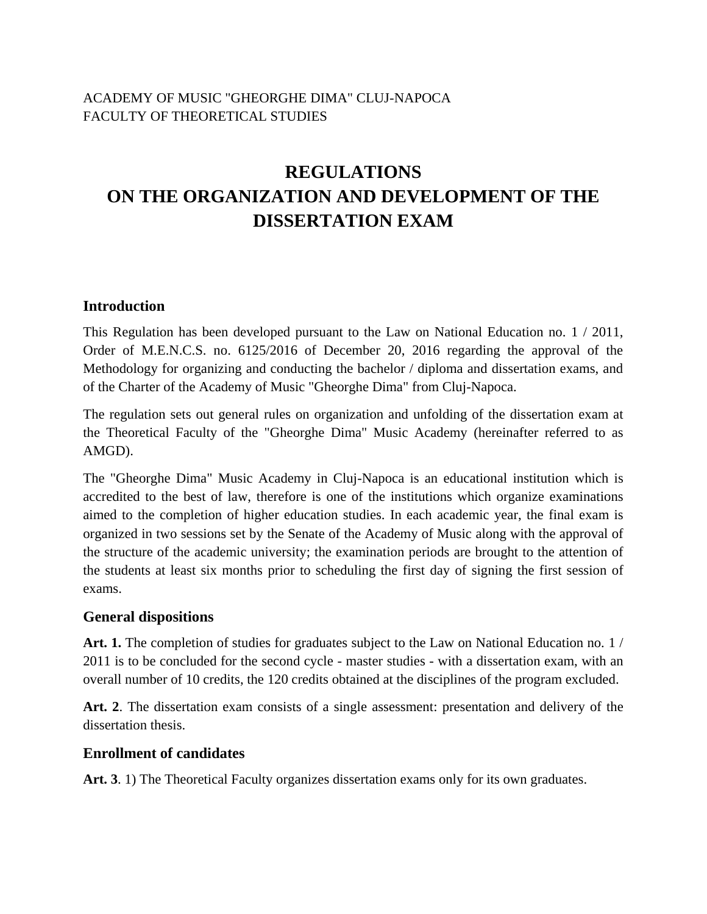# ACADEMY OF MUSIC "GHEORGHE DIMA" CLUJ-NAPOCA FACULTY OF THEORETICAL STUDIES

# **REGULATIONS ON THE ORGANIZATION AND DEVELOPMENT OF THE DISSERTATION EXAM**

#### **Introduction**

This Regulation has been developed pursuant to the Law on National Education no. 1 / 2011, Order of M.E.N.C.S. no. 6125/2016 of December 20, 2016 regarding the approval of the Methodology for organizing and conducting the bachelor / diploma and dissertation exams, and of the Charter of the Academy of Music "Gheorghe Dima" from Cluj-Napoca.

The regulation sets out general rules on organization and unfolding of the dissertation exam at the Theoretical Faculty of the "Gheorghe Dima" Music Academy (hereinafter referred to as AMGD).

The "Gheorghe Dima" Music Academy in Cluj-Napoca is an educational institution which is accredited to the best of law, therefore is one of the institutions which organize examinations aimed to the completion of higher education studies. In each academic year, the final exam is organized in two sessions set by the Senate of the Academy of Music along with the approval of the structure of the academic university; the examination periods are brought to the attention of the students at least six months prior to scheduling the first day of signing the first session of exams.

#### **General dispositions**

**Art. 1.** The completion of studies for graduates subject to the Law on National Education no. 1 / 2011 is to be concluded for the second cycle - master studies - with a dissertation exam, with an overall number of 10 credits, the 120 credits obtained at the disciplines of the program excluded.

**Art. 2**. The dissertation exam consists of a single assessment: presentation and delivery of the dissertation thesis.

#### **Enrollment of candidates**

Art. 3. 1) The Theoretical Faculty organizes dissertation exams only for its own graduates.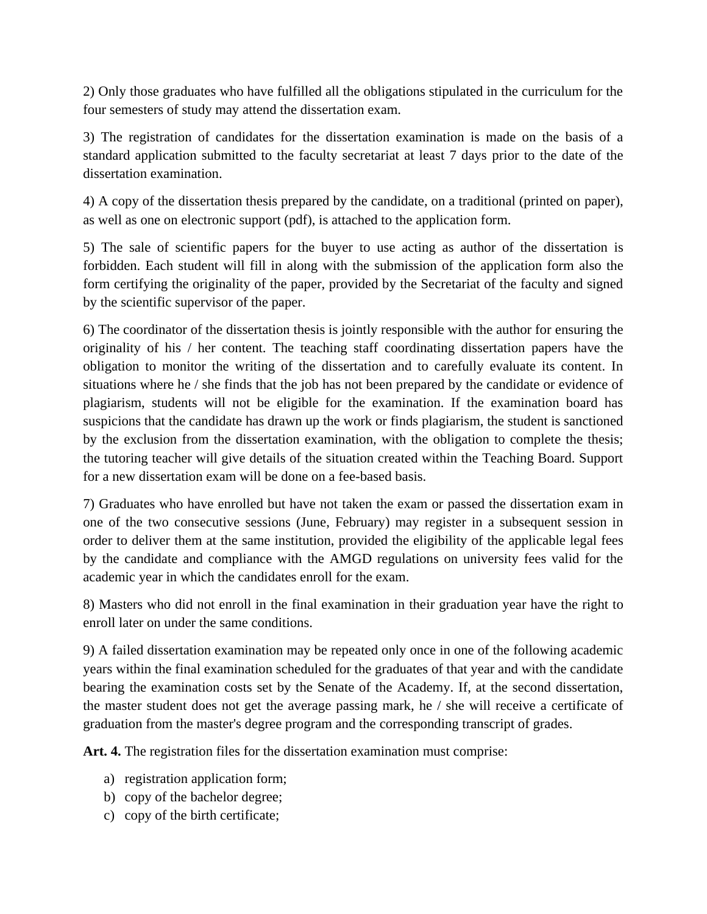2) Only those graduates who have fulfilled all the obligations stipulated in the curriculum for the four semesters of study may attend the dissertation exam.

3) The registration of candidates for the dissertation examination is made on the basis of a standard application submitted to the faculty secretariat at least 7 days prior to the date of the dissertation examination.

4) A copy of the dissertation thesis prepared by the candidate, on a traditional (printed on paper), as well as one on electronic support (pdf), is attached to the application form.

5) The sale of scientific papers for the buyer to use acting as author of the dissertation is forbidden. Each student will fill in along with the submission of the application form also the form certifying the originality of the paper, provided by the Secretariat of the faculty and signed by the scientific supervisor of the paper.

6) The coordinator of the dissertation thesis is jointly responsible with the author for ensuring the originality of his / her content. The teaching staff coordinating dissertation papers have the obligation to monitor the writing of the dissertation and to carefully evaluate its content. In situations where he / she finds that the job has not been prepared by the candidate or evidence of plagiarism, students will not be eligible for the examination. If the examination board has suspicions that the candidate has drawn up the work or finds plagiarism, the student is sanctioned by the exclusion from the dissertation examination, with the obligation to complete the thesis; the tutoring teacher will give details of the situation created within the Teaching Board. Support for a new dissertation exam will be done on a fee-based basis.

7) Graduates who have enrolled but have not taken the exam or passed the dissertation exam in one of the two consecutive sessions (June, February) may register in a subsequent session in order to deliver them at the same institution, provided the eligibility of the applicable legal fees by the candidate and compliance with the AMGD regulations on university fees valid for the academic year in which the candidates enroll for the exam.

8) Masters who did not enroll in the final examination in their graduation year have the right to enroll later on under the same conditions.

9) A failed dissertation examination may be repeated only once in one of the following academic years within the final examination scheduled for the graduates of that year and with the candidate bearing the examination costs set by the Senate of the Academy. If, at the second dissertation, the master student does not get the average passing mark, he / she will receive a certificate of graduation from the master's degree program and the corresponding transcript of grades.

**Art. 4.** The registration files for the dissertation examination must comprise:

- a) registration application form;
- b) copy of the bachelor degree;
- c) copy of the birth certificate;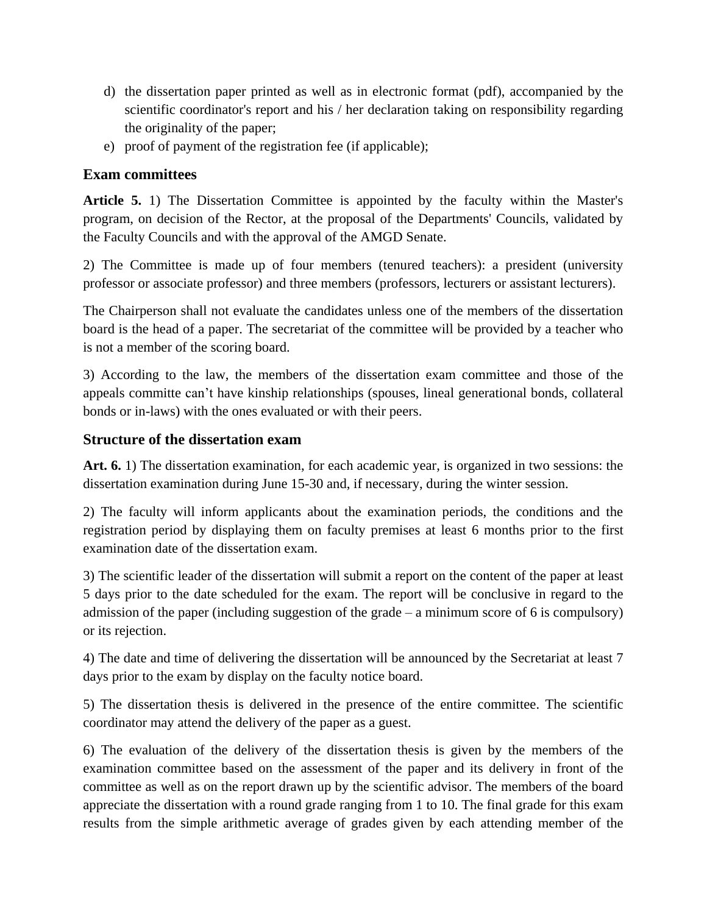- d) the dissertation paper printed as well as in electronic format (pdf), accompanied by the scientific coordinator's report and his / her declaration taking on responsibility regarding the originality of the paper;
- e) proof of payment of the registration fee (if applicable);

## **Exam committees**

**Article 5.** 1) The Dissertation Committee is appointed by the faculty within the Master's program, on decision of the Rector, at the proposal of the Departments' Councils, validated by the Faculty Councils and with the approval of the AMGD Senate.

2) The Committee is made up of four members (tenured teachers): a president (university professor or associate professor) and three members (professors, lecturers or assistant lecturers).

The Chairperson shall not evaluate the candidates unless one of the members of the dissertation board is the head of a paper. The secretariat of the committee will be provided by a teacher who is not a member of the scoring board.

3) According to the law, the members of the dissertation exam committee and those of the appeals committe can't have kinship relationships (spouses, lineal generational bonds, collateral bonds or in-laws) with the ones evaluated or with their peers.

## **Structure of the dissertation exam**

**Art. 6.** 1) The dissertation examination, for each academic year, is organized in two sessions: the dissertation examination during June 15-30 and, if necessary, during the winter session.

2) The faculty will inform applicants about the examination periods, the conditions and the registration period by displaying them on faculty premises at least 6 months prior to the first examination date of the dissertation exam.

3) The scientific leader of the dissertation will submit a report on the content of the paper at least 5 days prior to the date scheduled for the exam. The report will be conclusive in regard to the admission of the paper (including suggestion of the grade – a minimum score of 6 is compulsory) or its rejection.

4) The date and time of delivering the dissertation will be announced by the Secretariat at least 7 days prior to the exam by display on the faculty notice board.

5) The dissertation thesis is delivered in the presence of the entire committee. The scientific coordinator may attend the delivery of the paper as a guest.

6) The evaluation of the delivery of the dissertation thesis is given by the members of the examination committee based on the assessment of the paper and its delivery in front of the committee as well as on the report drawn up by the scientific advisor. The members of the board appreciate the dissertation with a round grade ranging from 1 to 10. The final grade for this exam results from the simple arithmetic average of grades given by each attending member of the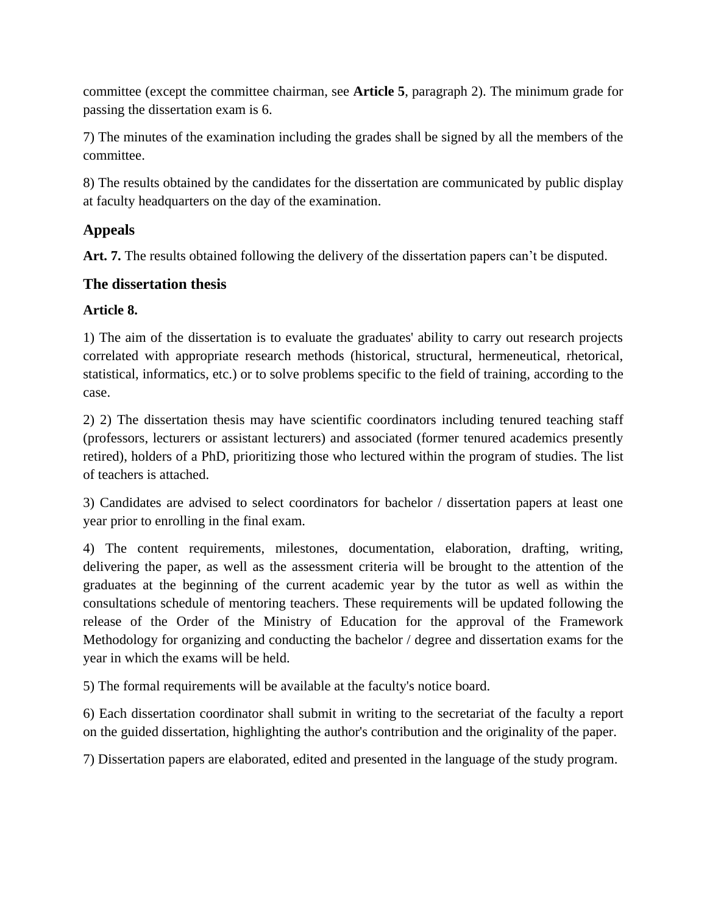committee (except the committee chairman, see **Article 5**, paragraph 2). The minimum grade for passing the dissertation exam is 6.

7) The minutes of the examination including the grades shall be signed by all the members of the committee.

8) The results obtained by the candidates for the dissertation are communicated by public display at faculty headquarters on the day of the examination.

# **Appeals**

**Art. 7.** The results obtained following the delivery of the dissertation papers can't be disputed.

# **The dissertation thesis**

# **Article 8.**

1) The aim of the dissertation is to evaluate the graduates' ability to carry out research projects correlated with appropriate research methods (historical, structural, hermeneutical, rhetorical, statistical, informatics, etc.) or to solve problems specific to the field of training, according to the case.

2) 2) The dissertation thesis may have scientific coordinators including tenured teaching staff (professors, lecturers or assistant lecturers) and associated (former tenured academics presently retired), holders of a PhD, prioritizing those who lectured within the program of studies. The list of teachers is attached.

3) Candidates are advised to select coordinators for bachelor / dissertation papers at least one year prior to enrolling in the final exam.

4) The content requirements, milestones, documentation, elaboration, drafting, writing, delivering the paper, as well as the assessment criteria will be brought to the attention of the graduates at the beginning of the current academic year by the tutor as well as within the consultations schedule of mentoring teachers. These requirements will be updated following the release of the Order of the Ministry of Education for the approval of the Framework Methodology for organizing and conducting the bachelor / degree and dissertation exams for the year in which the exams will be held.

5) The formal requirements will be available at the faculty's notice board.

6) Each dissertation coordinator shall submit in writing to the secretariat of the faculty a report on the guided dissertation, highlighting the author's contribution and the originality of the paper.

7) Dissertation papers are elaborated, edited and presented in the language of the study program.